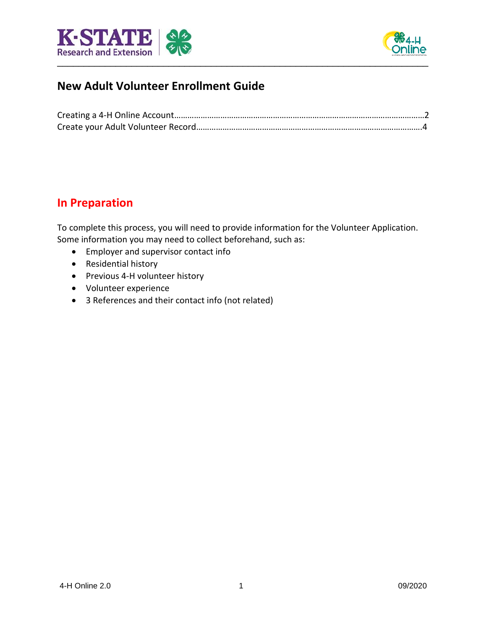



# **New Adult Volunteer Enrollment Guide**

## **In Preparation**

To complete this process, you will need to provide information for the Volunteer Application. Some information you may need to collect beforehand, such as:

- Employer and supervisor contact info
- Residential history
- Previous 4-H volunteer history
- Volunteer experience
- 3 References and their contact info (not related)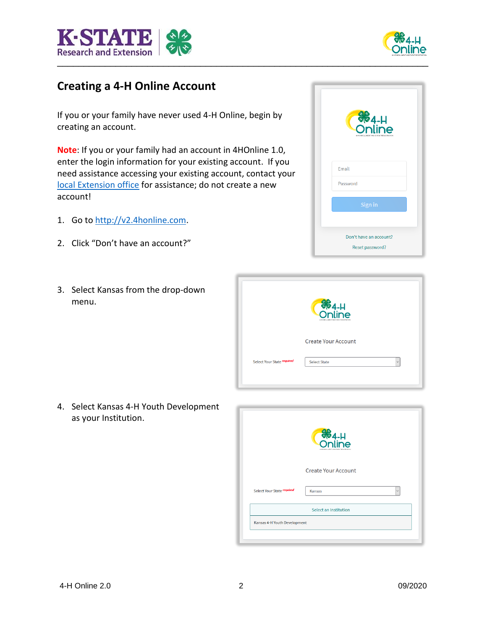



# **Creating a 4-H Online Account**

If you or your family have never used 4-H Online, begin by creating an account.

**Note**: If you or your family had an account in 4HOnline 1.0, enter the login information for your existing account. If you need assistance accessing your existing account, contact your [local Extension office](https://www.ksre.k-state.edu/about/stateandareamaps.html) for assistance; do not create a new account!

- 1. Go t[o http://v2.4honline.com.](http://v2.4honline.com/)
- 2. Click "Don't have an account?"
- 3. Select Kansas from the drop-down menu.





4. Select Kansas 4-H Youth Development as your Institution.

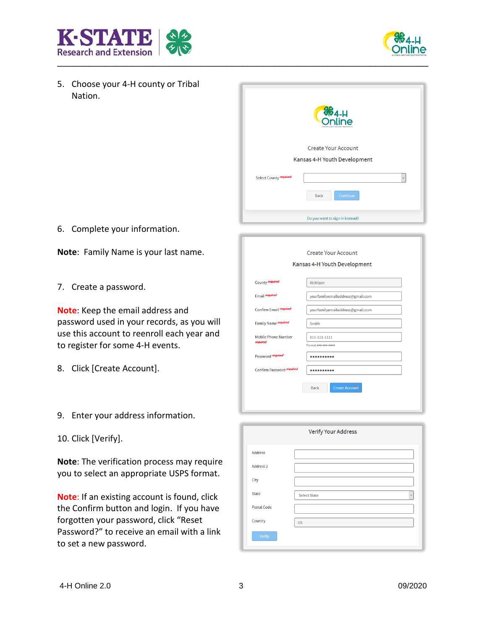



5. Choose your 4-H county or Tribal Nation.

|                        | <b>S</b><br>Online              |
|------------------------|---------------------------------|
|                        | <b>Create Your Account</b>      |
|                        | Kansas 4-H Youth Development    |
| Select County required | $\checkmark$                    |
|                        | Continue<br><b>Back</b>         |
|                        | Do you want to sign in instead? |

6. Complete your information.

**Note**: Family Name is your last name.

7. Create a password.

**Note**: Keep the email address and password used in your records, as you will use this account to reenroll each year and to register for some 4-H events.

- 8. Click [Create Account].
- 9. Enter your address information.
- 10. Click [Verify].

**Note**: The verification process may require you to select an appropriate USPS format.

**Note**: If an existing account is found, click the Confirm button and login. If you have forgotten your password, click "Reset Password?" to receive an email with a link to set a new password.

|                                        | Kansas 4-H Youth Development         |
|----------------------------------------|--------------------------------------|
|                                        |                                      |
| County required                        | Atchison                             |
| <b>Email required</b>                  | yourfamilyemailaddress@gmail.com     |
| Confirm Email required                 | yourfamilyemailaddress@gmail.com     |
| Family Name required                   | Smith                                |
| <b>Mobile Phone Number</b><br>required | 111-111-1111                         |
|                                        | Format ###-###-####                  |
| Password required                      | $•••••••••••$                        |
| Confirm Password required              |                                      |
|                                        | <b>Create Account</b><br><b>Back</b> |
|                                        |                                      |

| Verify Your Address  |                                     |  |  |
|----------------------|-------------------------------------|--|--|
| <b>Address</b>       |                                     |  |  |
| Address <sub>2</sub> |                                     |  |  |
| City                 |                                     |  |  |
| <b>State</b>         | <b>Select State</b><br>$\checkmark$ |  |  |
| <b>Postal Code</b>   |                                     |  |  |
| Country              | <b>US</b>                           |  |  |
| Verify               |                                     |  |  |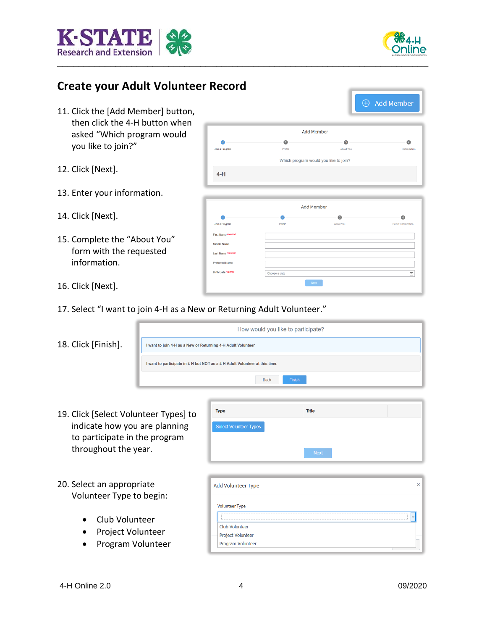



 $\overline{A}$ 

 $\bullet$ 

 $\overline{\Xi}$ 

# **Create your Adult Volunteer Record**

- 11. Click the [Add Member] button, then click the 4-H button when asked "Which program would you like to join?"
- 12. Click [Next].
- 13. Enter your information.
- 14. Click [Next].
- 15. Complete the "About You" form with the requested information.
- 16. Click [Next].
- 17. Select "I want to join 4-H as a New or Returning Adult Volunteer."

|  |  | 18. Click [Finish]. |
|--|--|---------------------|
|--|--|---------------------|



- 19. Click [Select Volunteer Types] to indicate how you are planning to participate in the program throughout the year.
- 20. Select an appropriate Volunteer Type to begin:
	- Club Volunteer
	- Project Volunteer
	- Program Volunteer

| Add Volunteer Type       |              |
|--------------------------|--------------|
| <b>Volunteer Type</b>    |              |
|                          | $\checkmark$ |
| <b>Club Volunteer</b>    |              |
| <b>Project Volunteer</b> |              |
| Program Volunteer        |              |

Title



Add Member

Which program would you like to join?

**Add Member** 

 $\sim$  Next  $^{-1}$ 

 $\bullet$ 

**About You** 

 $\overline{3}$ 

**About You** 

 $\overline{2}$ 

**Profile** 

 $\mathcal{L}$ 

Profile

Choose a da

Ioin a Program

 $4-H$ 

**Join a Drogram** 

**Sirth Date** re

Type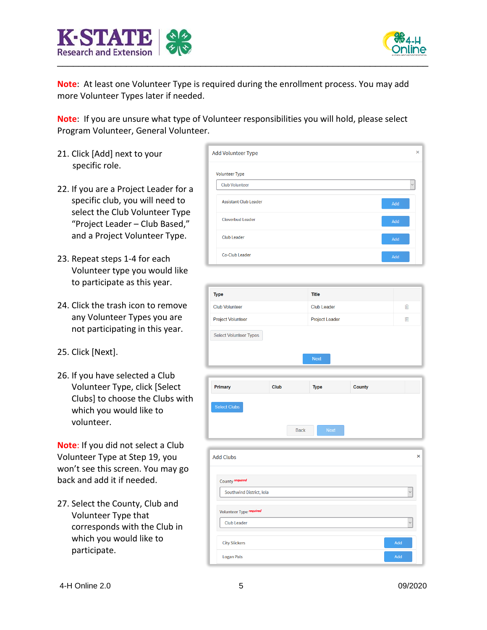



**Note**: At least one Volunteer Type is required during the enrollment process. You may add more Volunteer Types later if needed.

**Note**: If you are unsure what type of Volunteer responsibilities you will hold, please select Program Volunteer, General Volunteer.

- 21. Click [Add] next to your specific role.
- 22. If you are a Project Leader for a specific club, you will need to select the Club Volunteer Type "Project Leader – Club Based," and a Project Volunteer Type.
- 23. Repeat steps 1-4 for each Volunteer type you would like to participate as this year.
- 24. Click the trash icon to remove any Volunteer Types you are not participating in this year.
- 25. Click [Next].
- 26. If you have selected a Club Volunteer Type, click [Select Clubs] to choose the Clubs with which you would like to volunteer.

**Note**: If you did not select a Club Volunteer Type at Step 19, you won't see this screen. You may go back and add it if needed.

27. Select the County, Club and Volunteer Type that corresponds with the Club in which you would like to participate.

| Add Volunteer Type           | ×            |
|------------------------------|--------------|
| <b>Volunteer Type</b>        |              |
| <b>Club Volunteer</b>        | $\checkmark$ |
| <b>Assistant Club Leader</b> | Add          |
| <b>Cloverbud Leader</b>      | Add          |
| <b>Club Leader</b>           | Add          |
| Co-Club Leader               | Add          |

| <b>Type</b>                   | <b>Title</b>          |     |
|-------------------------------|-----------------------|-----|
| <b>Club Volunteer</b>         | <b>Club Leader</b>    | Tim |
| <b>Project Volunteer</b>      | <b>Project Leader</b> | ⋒   |
| <b>Select Volunteer Types</b> |                       |     |
|                               | <b>Next</b>           |     |



| <b>Add Clubs</b>         | $\times$     |
|--------------------------|--------------|
| County required          |              |
| Southwind District, Iola | $\checkmark$ |
| Volunteer Type required  |              |
| <b>Club Leader</b>       | $\checkmark$ |
| <b>City Slickers</b>     | Add          |
| <b>Logan Pals</b>        | Add          |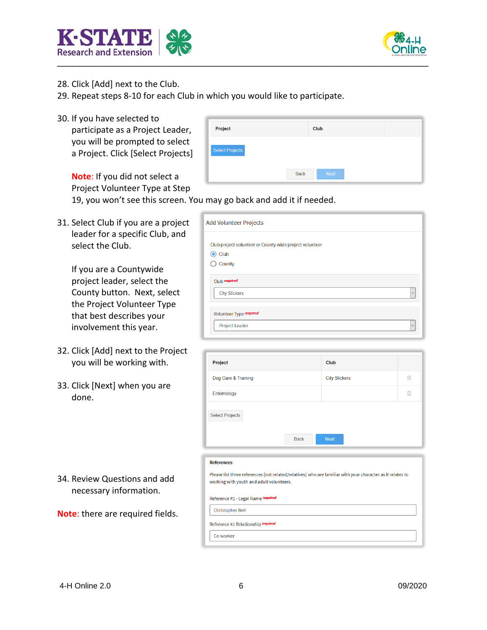



- 28. Click [Add] next to the Club.
- 29. Repeat steps 8-10 for each Club in which you would like to participate.
- 30. If you have selected to

participate as a Project Leader, you will be prompted to select a Project. Click [Select Projects]

| Project                |             | Club |             |  |  |
|------------------------|-------------|------|-------------|--|--|
| <b>Select Projects</b> |             |      |             |  |  |
|                        | <b>Back</b> |      | <b>Next</b> |  |  |

**Note**: If you did not select a Project Volunteer Type at Step 19, you won't see this screen. You may go back and add it if needed.

31. Select Club if you are a project leader for a specific Club, and select the Club.

> If you are a Countywide project leader, select the County button. Next, select the Project Volunteer Type that best describes your involvement this year.

- 32. Click [Add] next to the Project you will be working with.
- 33. Click [Next] when you are done.

34. Review Questions and add necessary information.

**Note**: there are required fields.

| <b>Add Volunteer Projects</b>                           |
|---------------------------------------------------------|
| Club project volunteer or County wide project volunteer |
| Club                                                    |
| County                                                  |
| Club required<br><b>City Slickers</b><br>$\checkmark$   |
| Volunteer Type required                                 |
| <b>Project Leader</b><br>$\checkmark$                   |

| Project                |             | Club                 |      |
|------------------------|-------------|----------------------|------|
| Dog Care & Training    |             | <b>City Slickers</b> | Till |
| Entomology             |             |                      | ⋒    |
| <b>Select Projects</b> | <b>Back</b> | <b>Next</b>          |      |

## **References**

Please list three references (not related/relatives) who are familiar with your character as it relates to working with youth and adult volunteers.

Reference #1 - Legal Name required

## **Christopher Bell**

Co-worker

Reference #1 Relationship required